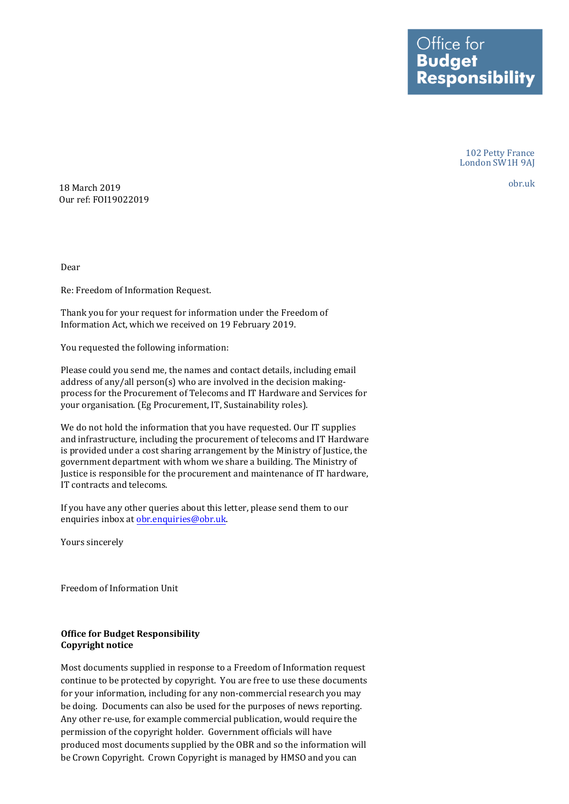Ottice tor **Budget Responsibility** 

> 102 Petty France London SW1H 9AJ

> > obr.uk

18 March 2019 Our ref: FOI19022019

Dear

Re: Freedom of Information Request.

Thank you for your request for information under the Freedom of Information Act, which we received on 19 February 2019.

You requested the following information:

Please could you send me, the names and contact details, including email address of any/all person(s) who are involved in the decision makingprocess for the Procurement of Telecoms and IT Hardware and Services for your organisation. (Eg Procurement, IT, Sustainability roles).

We do not hold the information that you have requested. Our IT supplies and infrastructure, including the procurement of telecoms and IT Hardware is provided under a cost sharing arrangement by the Ministry of Justice, the government department with whom we share a building. The Ministry of Justice is responsible for the procurement and maintenance of IT hardware, IT contracts and telecoms.

If you have any other queries about this letter, please send them to our enquiries inbox at [obr.enquiries@obr.uk.](mailto:obr.enquiries@obr.uk) 

Yours sincerely

Freedom of Information Unit

## **Office for Budget Responsibility Copyright notice**

Most documents supplied in response to a Freedom of Information request continue to be protected by copyright. You are free to use these documents for your information, including for any non-commercial research you may be doing. Documents can also be used for the purposes of news reporting. Any other re-use, for example commercial publication, would require the permission of the copyright holder. Government officials will have produced most documents supplied by the OBR and so the information will be Crown Copyright. Crown Copyright is managed by HMSO and you can